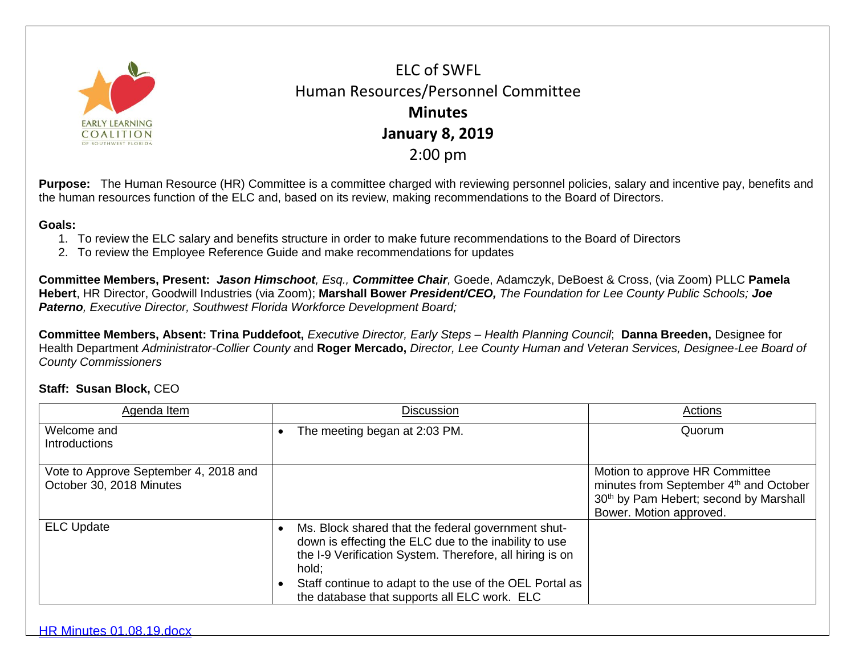

ELC of SWFL Human Resources/Personnel Committee **Minutes January 8, 2019** 2:00 pm

**Purpose:** The Human Resource (HR) Committee is a committee charged with reviewing personnel policies, salary and incentive pay, benefits and the human resources function of the ELC and, based on its review, making recommendations to the Board of Directors.

## **Goals:**

- 1. To review the ELC salary and benefits structure in order to make future recommendations to the Board of Directors
- 2. To review the Employee Reference Guide and make recommendations for updates

**Committee Members, Present:** *Jason Himschoot, Esq., Committee Chair,* Goede, Adamczyk, DeBoest & Cross, (via Zoom) PLLC **Pamela Hebert**, HR Director, Goodwill Industries (via Zoom); **Marshall Bower** *President/CEO, The Foundation for Lee County Public Schools; Joe Paterno, Executive Director, Southwest Florida Workforce Development Board;*

**Committee Members, Absent: Trina Puddefoot,** *Executive Director, Early Steps – Health Planning Council*; **Danna Breeden,** Designee for Health Department *Administrator-Collier County a*nd **Roger Mercado,** *Director, Lee County Human and Veteran Services, Designee-Lee Board of County Commissioners*

## **Staff: Susan Block,** CEO

| Agenda Item                                                       | <b>Discussion</b>                                                                                                                                                                                                                                                                           | Actions                                                                                                                                                   |
|-------------------------------------------------------------------|---------------------------------------------------------------------------------------------------------------------------------------------------------------------------------------------------------------------------------------------------------------------------------------------|-----------------------------------------------------------------------------------------------------------------------------------------------------------|
| Welcome and<br>Introductions                                      | The meeting began at 2:03 PM.                                                                                                                                                                                                                                                               | Quorum                                                                                                                                                    |
| Vote to Approve September 4, 2018 and<br>October 30, 2018 Minutes |                                                                                                                                                                                                                                                                                             | Motion to approve HR Committee<br>minutes from September 4 <sup>th</sup> and October<br>30th by Pam Hebert; second by Marshall<br>Bower. Motion approved. |
| <b>ELC Update</b>                                                 | Ms. Block shared that the federal government shut-<br>down is effecting the ELC due to the inability to use<br>the I-9 Verification System. Therefore, all hiring is on<br>hold:<br>Staff continue to adapt to the use of the OEL Portal as<br>the database that supports all ELC work. ELC |                                                                                                                                                           |